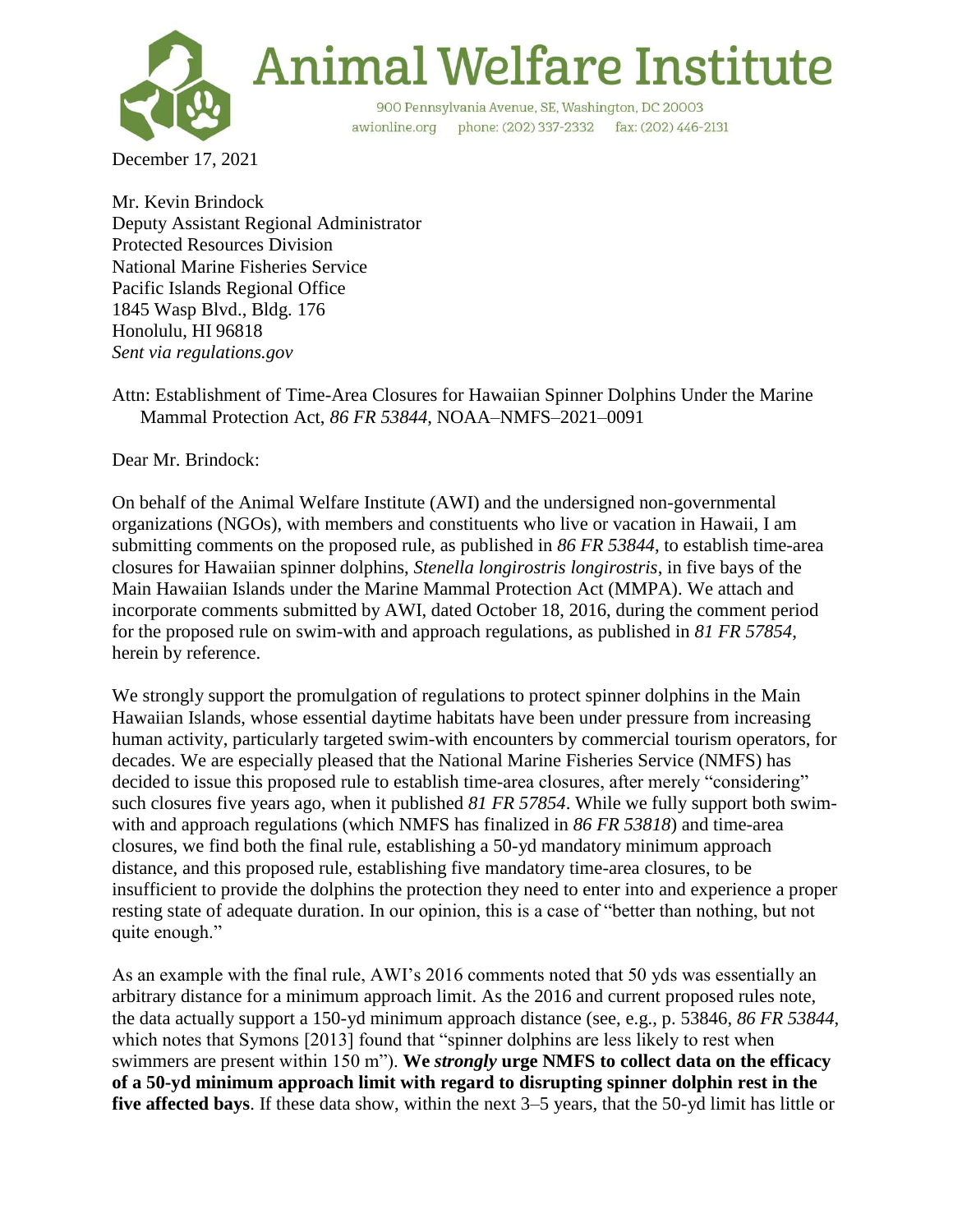

**Animal Welfare Institute** 

900 Pennsylvania Avenue, SE, Washington, DC 20003 awionline.org phone: (202) 337-2332 fax: (202) 446-2131

December 17, 2021

Mr. Kevin Brindock Deputy Assistant Regional Administrator Protected Resources Division National Marine Fisheries Service Pacific Islands Regional Office 1845 Wasp Blvd., Bldg. 176 Honolulu, HI 96818 *Sent via regulations.gov*

Attn: Establishment of Time-Area Closures for Hawaiian Spinner Dolphins Under the Marine Mammal Protection Act, *86 FR 53844*, NOAA–NMFS–2021–0091

Dear Mr. Brindock:

On behalf of the Animal Welfare Institute (AWI) and the undersigned non-governmental organizations (NGOs), with members and constituents who live or vacation in Hawaii, I am submitting comments on the proposed rule, as published in *86 FR 53844*, to establish time-area closures for Hawaiian spinner dolphins, *Stenella longirostris longirostris*, in five bays of the Main Hawaiian Islands under the Marine Mammal Protection Act (MMPA). We attach and incorporate comments submitted by AWI, dated October 18, 2016, during the comment period for the proposed rule on swim-with and approach regulations, as published in *81 FR 57854*, herein by reference.

We strongly support the promulgation of regulations to protect spinner dolphins in the Main Hawaiian Islands, whose essential daytime habitats have been under pressure from increasing human activity, particularly targeted swim-with encounters by commercial tourism operators, for decades. We are especially pleased that the National Marine Fisheries Service (NMFS) has decided to issue this proposed rule to establish time-area closures, after merely "considering" such closures five years ago, when it published *81 FR 57854*. While we fully support both swimwith and approach regulations (which NMFS has finalized in *86 FR 53818*) and time-area closures, we find both the final rule, establishing a 50-yd mandatory minimum approach distance, and this proposed rule, establishing five mandatory time-area closures, to be insufficient to provide the dolphins the protection they need to enter into and experience a proper resting state of adequate duration. In our opinion, this is a case of "better than nothing, but not quite enough."

As an example with the final rule, AWI's 2016 comments noted that 50 yds was essentially an arbitrary distance for a minimum approach limit. As the 2016 and current proposed rules note, the data actually support a 150-yd minimum approach distance (see, e.g., p. 53846, *86 FR 53844*, which notes that Symons [2013] found that "spinner dolphins are less likely to rest when swimmers are present within 150 m"). **We** *strongly* **urge NMFS to collect data on the efficacy of a 50-yd minimum approach limit with regard to disrupting spinner dolphin rest in the five affected bays**. If these data show, within the next 3–5 years, that the 50-yd limit has little or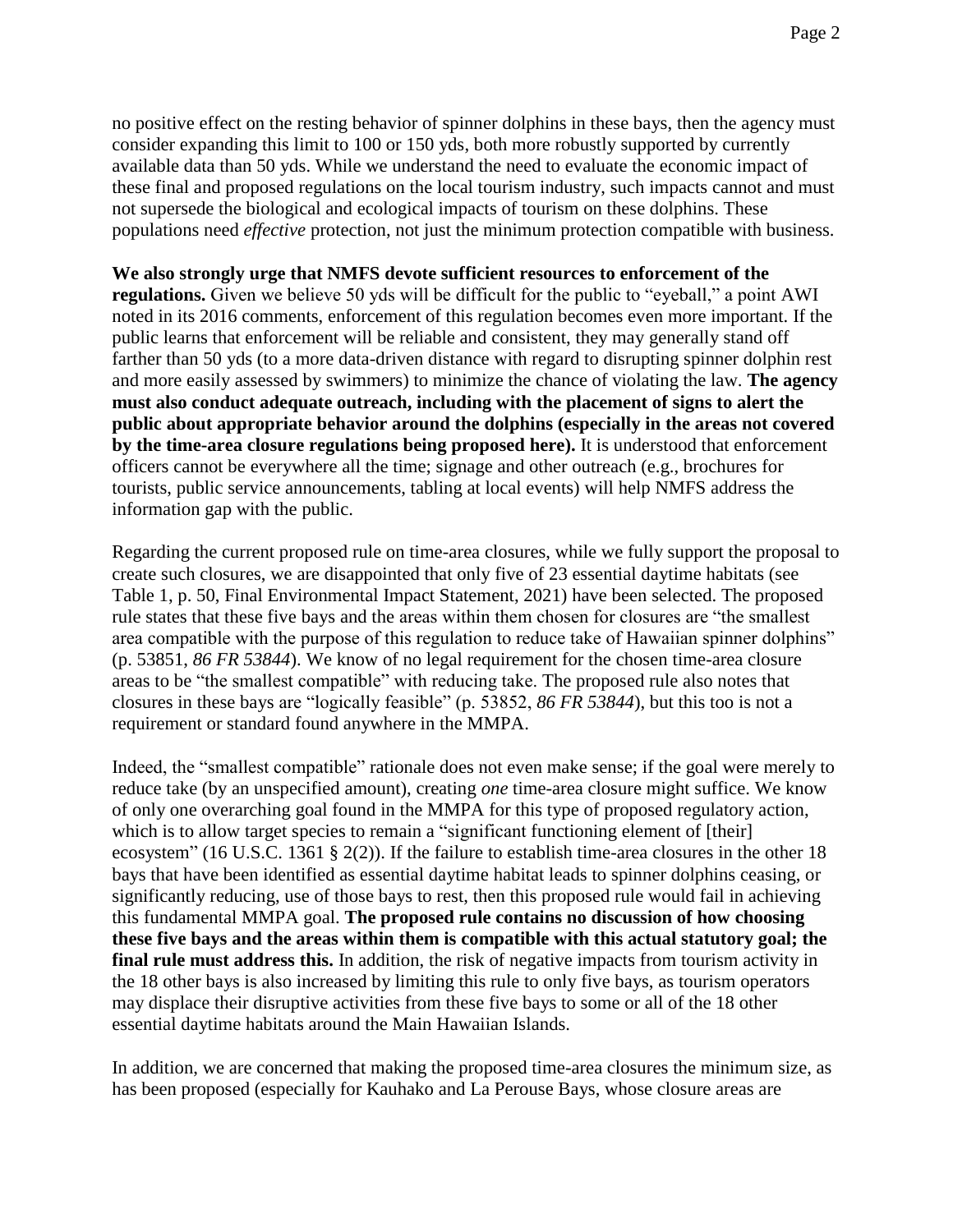no positive effect on the resting behavior of spinner dolphins in these bays, then the agency must consider expanding this limit to 100 or 150 yds, both more robustly supported by currently available data than 50 yds. While we understand the need to evaluate the economic impact of these final and proposed regulations on the local tourism industry, such impacts cannot and must not supersede the biological and ecological impacts of tourism on these dolphins. These populations need *effective* protection, not just the minimum protection compatible with business.

## **We also strongly urge that NMFS devote sufficient resources to enforcement of the**

**regulations.** Given we believe 50 yds will be difficult for the public to "eyeball," a point AWI noted in its 2016 comments, enforcement of this regulation becomes even more important. If the public learns that enforcement will be reliable and consistent, they may generally stand off farther than 50 yds (to a more data-driven distance with regard to disrupting spinner dolphin rest and more easily assessed by swimmers) to minimize the chance of violating the law. **The agency must also conduct adequate outreach, including with the placement of signs to alert the public about appropriate behavior around the dolphins (especially in the areas not covered by the time-area closure regulations being proposed here).** It is understood that enforcement officers cannot be everywhere all the time; signage and other outreach (e.g., brochures for tourists, public service announcements, tabling at local events) will help NMFS address the information gap with the public.

Regarding the current proposed rule on time-area closures, while we fully support the proposal to create such closures, we are disappointed that only five of 23 essential daytime habitats (see Table 1, p. 50, Final Environmental Impact Statement, 2021) have been selected. The proposed rule states that these five bays and the areas within them chosen for closures are "the smallest area compatible with the purpose of this regulation to reduce take of Hawaiian spinner dolphins" (p. 53851, *86 FR 53844*). We know of no legal requirement for the chosen time-area closure areas to be "the smallest compatible" with reducing take. The proposed rule also notes that closures in these bays are "logically feasible" (p. 53852, *86 FR 53844*), but this too is not a requirement or standard found anywhere in the MMPA.

Indeed, the "smallest compatible" rationale does not even make sense; if the goal were merely to reduce take (by an unspecified amount), creating *one* time-area closure might suffice. We know of only one overarching goal found in the MMPA for this type of proposed regulatory action, which is to allow target species to remain a "significant functioning element of [their] ecosystem" (16 U.S.C. 1361 § 2(2)). If the failure to establish time-area closures in the other 18 bays that have been identified as essential daytime habitat leads to spinner dolphins ceasing, or significantly reducing, use of those bays to rest, then this proposed rule would fail in achieving this fundamental MMPA goal. **The proposed rule contains no discussion of how choosing these five bays and the areas within them is compatible with this actual statutory goal; the final rule must address this.** In addition, the risk of negative impacts from tourism activity in the 18 other bays is also increased by limiting this rule to only five bays, as tourism operators may displace their disruptive activities from these five bays to some or all of the 18 other essential daytime habitats around the Main Hawaiian Islands.

In addition, we are concerned that making the proposed time-area closures the minimum size, as has been proposed (especially for Kauhako and La Perouse Bays, whose closure areas are